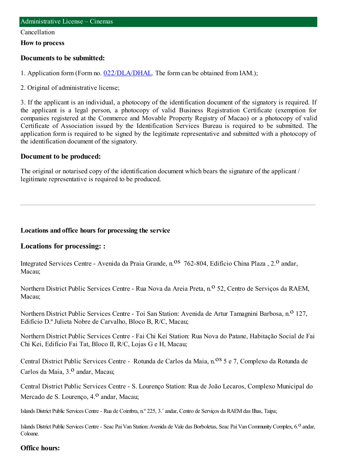#### Cancellation

### **How to process**

## **Documents to be submitted:**

1. Application form (Form no. [022/DLA/DHAL](https://www.iam.gov.mo/c/pdf/eformDetail/PDF1013). The form can be obtained from IAM.);

2. Original of administrative license;

3. If the applicant is an individual, a photocopy of the identification document of the signatory is required. If the applicant is a legal person, a photocopy of valid Business Registration Certificate (exemption for companies registered at the Commerce and Movable Property Registry of Macao) or a photocopy of valid Certificate of Association issued by the Identification Services Bureau is required to be submitted. The application form is required to be signed by the legitimate representative and submitted with a photocopy of the identification document of the signatory.

### **Document to be produced:**

The original or notarised copy of the identification document which bears the signature of the applicant / legitimate representative is required to be produced.

### **Locations and office hours for processing the service**

## **Locations for processing: :**

Integrated Services Centre - Avenida da Praia Grande, n.<sup>0S</sup> 762-804, Edifício China Plaza, 2.<sup>0</sup> andar, Macau;

Northern District Public Services Centre - Rua Nova da Areia Preta, n.º 52, Centro de Servicos da RAEM, Macau;

Northern District Public Services Centre - Toi San Station: Avenida de Artur Tamagnini Barbosa, n.<sup>0</sup> 127, Edifício D.ª Julieta Nobre de Carvalho, Bloco B, R/C, Macau;

Northern District Public Services Centre - Fai Chi Kei Station: Rua Nova do Patane, Habitação Social de Fai Chi Kei, Edifício Fai Tat, Bloco II, R/C, Lojas G e H, Macau;

Central District Public Services Centre - Rotunda de Carlos da Maia, n.<sup>08</sup> 5 e 7, Complexo da Rotunda de Carlos da Maia, 3.<sup>0</sup> andar, Macau;

Central District Public Services Centre - S. Lourenço Station: Rua de João Lecaros, Complexo Municipal do Mercado de S. Lourenço, 4.<sup>0</sup> andar, Macau;

Islands District Public Services Centre - Rua de Coimbra, n.º 225, 3.º andar, Centro de Serviços da RAEM das Ilhas, Taipa;

Islands District Public Services Centre - Seac Pai Van Station: Avenida de Vale das Borboletas, Seac Pai Van Community Complex, 6.<sup>0</sup> andar, Coloane.

### **Office hours:**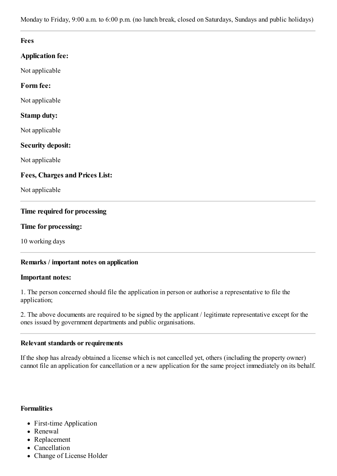Monday to Friday, 9:00 a.m. to 6:00 p.m. (no lunch break, closed on Saturdays, Sundays and public holidays)

| <b>Fees</b>                           |  |
|---------------------------------------|--|
| <b>Application fee:</b>               |  |
| Not applicable                        |  |
| Form fee:                             |  |
| Not applicable                        |  |
| <b>Stamp duty:</b>                    |  |
| Not applicable                        |  |
| <b>Security deposit:</b>              |  |
| Not applicable                        |  |
| <b>Fees, Charges and Prices List:</b> |  |
| Not applicable                        |  |
| Time required for processing          |  |
| Time for processing:                  |  |
| 10 working days                       |  |

## **Remarks / important notes on application**

### **Important notes:**

1. The person concerned should file the application in person or authorise a representative to file the application;

2. The above documents are required to be signed by the applicant / legitimate representative except for the ones issued by government departments and public organisations.

### **Relevant standards or requirements**

If the shop has already obtained a license which is not cancelled yet, others (including the property owner) cannot file an application for cancellation or a new application for the same project immediately on its behalf.

### **Formalities**

- First-time Application
- Renewal
- Replacement
- Cancellation
- Change of License Holder